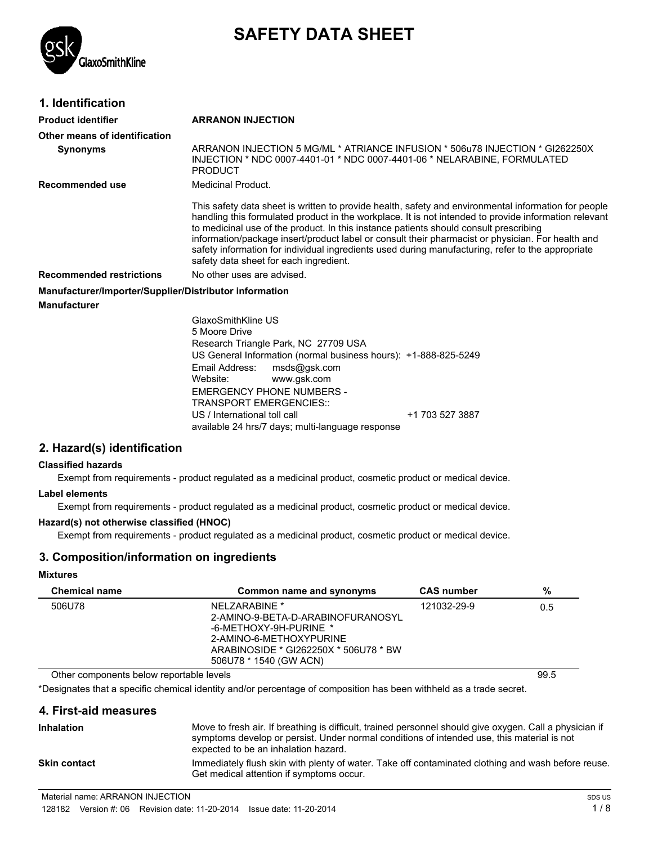

# **SAFETY DATA SHEET**

## **1. Identification**

### **Product identifier ARRANON INJECTION**

| і точистистіці іс                                                             | ANNAINUN IINJEUTIUN                                                                                                                                                                                                                                                                                                                                                                                                                                                                                                                                        |
|-------------------------------------------------------------------------------|------------------------------------------------------------------------------------------------------------------------------------------------------------------------------------------------------------------------------------------------------------------------------------------------------------------------------------------------------------------------------------------------------------------------------------------------------------------------------------------------------------------------------------------------------------|
| Other means of identification                                                 |                                                                                                                                                                                                                                                                                                                                                                                                                                                                                                                                                            |
| <b>Synonyms</b>                                                               | ARRANON INJECTION 5 MG/ML * ATRIANCE INFUSION * 506u78 INJECTION * GI262250X<br>INJECTION * NDC 0007-4401-01 * NDC 0007-4401-06 * NELARABINE, FORMULATED<br><b>PRODUCT</b>                                                                                                                                                                                                                                                                                                                                                                                 |
| Recommended use                                                               | Medicinal Product.                                                                                                                                                                                                                                                                                                                                                                                                                                                                                                                                         |
|                                                                               | This safety data sheet is written to provide health, safety and environmental information for people<br>handling this formulated product in the workplace. It is not intended to provide information relevant<br>to medicinal use of the product. In this instance patients should consult prescribing<br>information/package insert/product label or consult their pharmacist or physician. For health and<br>safety information for individual ingredients used during manufacturing, refer to the appropriate<br>safety data sheet for each ingredient. |
| <b>Recommended restrictions</b>                                               | No other uses are advised.                                                                                                                                                                                                                                                                                                                                                                                                                                                                                                                                 |
| Manufacturer/Importer/Supplier/Distributor information<br><b>Manufacturer</b> |                                                                                                                                                                                                                                                                                                                                                                                                                                                                                                                                                            |
|                                                                               |                                                                                                                                                                                                                                                                                                                                                                                                                                                                                                                                                            |

GlaxoSmithKline US 5 Moore Drive Research Triangle Park, NC 27709 USA US General Information (normal business hours): +1-888-825-5249 Email Address: msds@gsk.com Website: www.gsk.com EMERGENCY PHONE NUMBERS - TRANSPORT EMERGENCIES:: US / International toll call  $+1$  703 527 3887 available 24 hrs/7 days; multi-language response

## **2. Hazard(s) identification**

#### **Classified hazards**

Exempt from requirements - product regulated as a medicinal product, cosmetic product or medical device.

#### **Label elements**

Exempt from requirements - product regulated as a medicinal product, cosmetic product or medical device.

#### **Hazard(s) not otherwise classified (HNOC)**

Exempt from requirements - product regulated as a medicinal product, cosmetic product or medical device.

## **3. Composition/information on ingredients**

#### **Mixtures**

| <b>Chemical name</b> | Common name and synonyms                                                                                                                                                    | <b>CAS number</b> | %   |
|----------------------|-----------------------------------------------------------------------------------------------------------------------------------------------------------------------------|-------------------|-----|
| 506U78               | NFI ZARABINE *<br>2-AMINO-9-BETA-D-ARABINOFURANOSYL<br>-6-METHOXY-9H-PURINE *<br>2-AMINO-6-METHOXYPURINE<br>ARABINOSIDE * GI262250X * 506U78 * BW<br>506U78 * 1540 (GW ACN) | 121032-29-9       | 0.5 |

Other components below reportable levels 89.5

\*Designates that a specific chemical identity and/or percentage of composition has been withheld as a trade secret.

## **4. First-aid measures**

| <b>Inhalation</b>   | Move to fresh air. If breathing is difficult, trained personnel should give oxygen. Call a physician if<br>symptoms develop or persist. Under normal conditions of intended use, this material is not<br>expected to be an inhalation hazard. |
|---------------------|-----------------------------------------------------------------------------------------------------------------------------------------------------------------------------------------------------------------------------------------------|
| <b>Skin contact</b> | Immediately flush skin with plenty of water. Take off contaminated clothing and wash before reuse.<br>Get medical attention if symptoms occur.                                                                                                |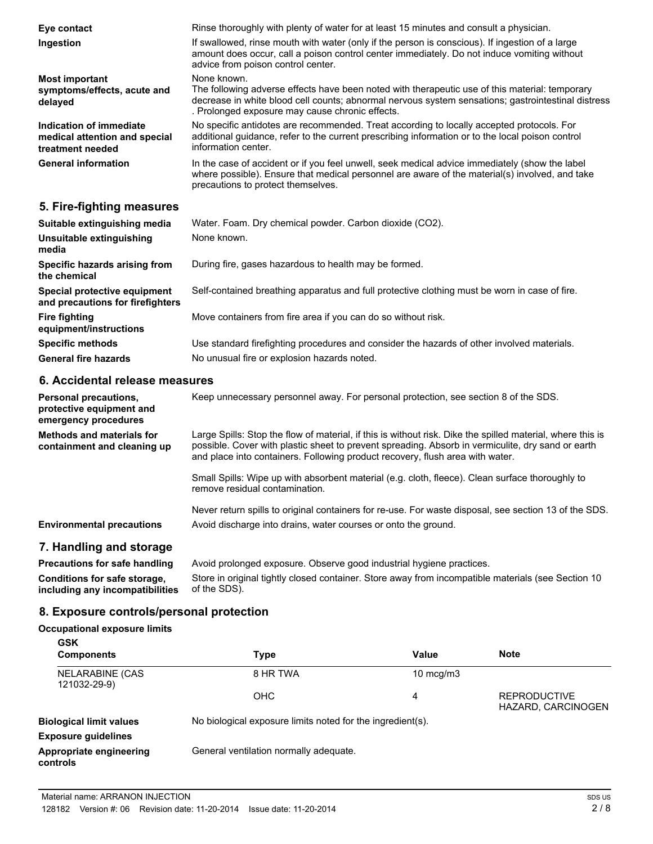| Eye contact                                                                  | Rinse thoroughly with plenty of water for at least 15 minutes and consult a physician.                                                                                                                                                                                 |  |  |
|------------------------------------------------------------------------------|------------------------------------------------------------------------------------------------------------------------------------------------------------------------------------------------------------------------------------------------------------------------|--|--|
| Ingestion                                                                    | If swallowed, rinse mouth with water (only if the person is conscious). If ingestion of a large<br>amount does occur, call a poison control center immediately. Do not induce vomiting without<br>advice from poison control center.                                   |  |  |
| <b>Most important</b><br>symptoms/effects, acute and<br>delayed              | None known.<br>The following adverse effects have been noted with therapeutic use of this material: temporary<br>decrease in white blood cell counts; abnormal nervous system sensations; gastrointestinal distress<br>. Prolonged exposure may cause chronic effects. |  |  |
| Indication of immediate<br>medical attention and special<br>treatment needed | No specific antidotes are recommended. Treat according to locally accepted protocols. For<br>additional guidance, refer to the current prescribing information or to the local poison control<br>information center.                                                   |  |  |
| <b>General information</b>                                                   | In the case of accident or if you feel unwell, seek medical advice immediately (show the label<br>where possible). Ensure that medical personnel are aware of the material(s) involved, and take<br>precautions to protect themselves.                                 |  |  |
| 5. Fire-fighting measures                                                    |                                                                                                                                                                                                                                                                        |  |  |
| Suitable extinguishing media                                                 | Water. Foam. Dry chemical powder. Carbon dioxide (CO2).                                                                                                                                                                                                                |  |  |
| Unsuitable extinguishing<br>media                                            | None known.                                                                                                                                                                                                                                                            |  |  |
| Specific hazards arising from<br>the chemical                                | During fire, gases hazardous to health may be formed.                                                                                                                                                                                                                  |  |  |

**Special protective equipment and precautions for firefighters** Self-contained breathing apparatus and full protective clothing must be worn in case of fire.

Move containers from fire area if you can do so without risk.

**Specific methods** Use standard firefighting procedures and consider the hazards of other involved materials. General fire hazards **No unusual fire or explosion hazards noted.** 

## **6. Accidental release measures**

**Fire fighting**

**equipment/instructions**

| Keep unnecessary personnel away. For personal protection, see section 8 of the SDS.                                                                                                                                                                                                              |  |  |
|--------------------------------------------------------------------------------------------------------------------------------------------------------------------------------------------------------------------------------------------------------------------------------------------------|--|--|
| Large Spills: Stop the flow of material, if this is without risk. Dike the spilled material, where this is<br>possible. Cover with plastic sheet to prevent spreading. Absorb in vermiculite, dry sand or earth<br>and place into containers. Following product recovery, flush area with water. |  |  |
| Small Spills: Wipe up with absorbent material (e.g. cloth, fleece). Clean surface thoroughly to<br>remove residual contamination.                                                                                                                                                                |  |  |
| Never return spills to original containers for re-use. For waste disposal, see section 13 of the SDS.<br>Avoid discharge into drains, water courses or onto the ground.                                                                                                                          |  |  |
| Avoid prolonged exposure. Observe good industrial hygiene practices.<br>$\alpha$ . The state of the state $\alpha$ is the state of $\alpha$ is the state of the state $\alpha$ . The state of $\alpha$                                                                                           |  |  |
|                                                                                                                                                                                                                                                                                                  |  |  |

**Conditions for safe storage, including any incompatibilities** Store in original tightly closed container. Store away from incompatible materials (see Section 10 of the SDS).

## **8. Exposure controls/personal protection**

## **Occupational exposure limits**

| <b>GSK</b>                              |                                                            |                      |                                           |
|-----------------------------------------|------------------------------------------------------------|----------------------|-------------------------------------------|
| <b>Components</b>                       | Type                                                       | Value                | <b>Note</b>                               |
| <b>NELARABINE (CAS)</b><br>121032-29-9) | 8 HR TWA                                                   | $10 \text{ mcq/m}$ 3 |                                           |
|                                         | OHC.                                                       | 4                    | <b>REPRODUCTIVE</b><br>HAZARD, CARCINOGEN |
| <b>Biological limit values</b>          | No biological exposure limits noted for the ingredient(s). |                      |                                           |
| <b>Exposure guidelines</b>              |                                                            |                      |                                           |
| Appropriate engineering<br>controls     | General ventilation normally adequate.                     |                      |                                           |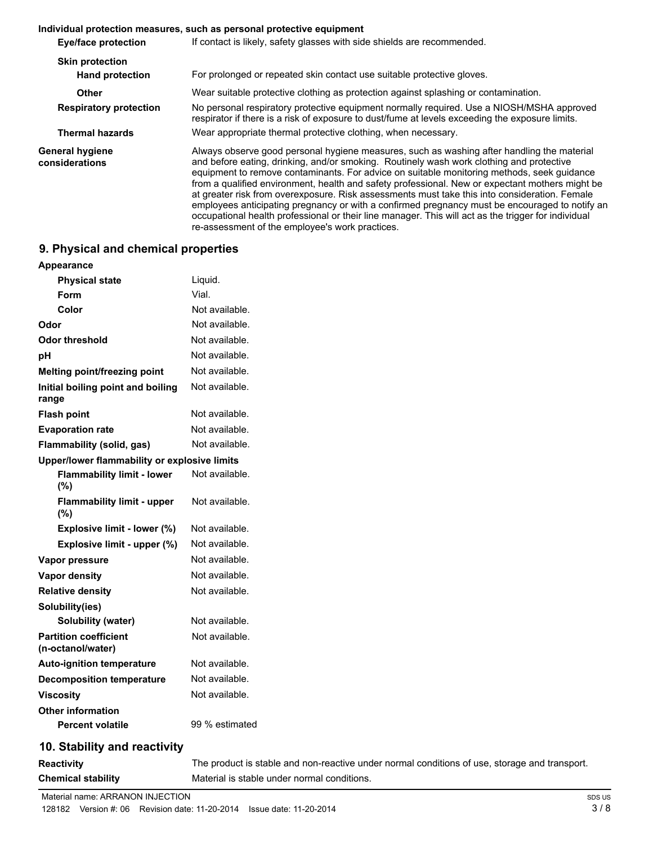#### **Individual protection measures, such as personal protective equipment**

| Eye/face protection               | If contact is likely, safety glasses with side shields are recommended.                                                                                                                                                                                                                                                                                                                                                                                                                                                                                                                                                                                                                                                                              |
|-----------------------------------|------------------------------------------------------------------------------------------------------------------------------------------------------------------------------------------------------------------------------------------------------------------------------------------------------------------------------------------------------------------------------------------------------------------------------------------------------------------------------------------------------------------------------------------------------------------------------------------------------------------------------------------------------------------------------------------------------------------------------------------------------|
| <b>Skin protection</b>            |                                                                                                                                                                                                                                                                                                                                                                                                                                                                                                                                                                                                                                                                                                                                                      |
| <b>Hand protection</b>            | For prolonged or repeated skin contact use suitable protective gloves.                                                                                                                                                                                                                                                                                                                                                                                                                                                                                                                                                                                                                                                                               |
| Other                             | Wear suitable protective clothing as protection against splashing or contamination.                                                                                                                                                                                                                                                                                                                                                                                                                                                                                                                                                                                                                                                                  |
| <b>Respiratory protection</b>     | No personal respiratory protective equipment normally required. Use a NIOSH/MSHA approved<br>respirator if there is a risk of exposure to dust/fume at levels exceeding the exposure limits.                                                                                                                                                                                                                                                                                                                                                                                                                                                                                                                                                         |
| <b>Thermal hazards</b>            | Wear appropriate thermal protective clothing, when necessary.                                                                                                                                                                                                                                                                                                                                                                                                                                                                                                                                                                                                                                                                                        |
| General hygiene<br>considerations | Always observe good personal hygiene measures, such as washing after handling the material<br>and before eating, drinking, and/or smoking. Routinely wash work clothing and protective<br>equipment to remove contaminants. For advice on suitable monitoring methods, seek guidance<br>from a qualified environment, health and safety professional. New or expectant mothers might be<br>at greater risk from overexposure. Risk assessments must take this into consideration. Female<br>employees anticipating pregnancy or with a confirmed pregnancy must be encouraged to notify an<br>occupational health professional or their line manager. This will act as the trigger for individual<br>re-assessment of the employee's work practices. |

## **9. Physical and chemical properties**

| Appearance                                        |                |
|---------------------------------------------------|----------------|
| <b>Physical state</b>                             | Liguid.        |
| Form                                              | Vial.          |
| Color                                             | Not available. |
| Odor                                              | Not available. |
| Odor threshold                                    | Not available. |
| рH                                                | Not available. |
| Melting point/freezing point                      | Not available. |
| Initial boiling point and boiling<br>range        | Not available. |
| <b>Flash point</b>                                | Not available. |
| <b>Evaporation rate</b>                           | Not available. |
| Flammability (solid, gas)                         | Not available. |
| Upper/lower flammability or explosive limits      |                |
| <b>Flammability limit - lower</b><br>(%)          | Not available. |
| <b>Flammability limit - upper</b><br>$(\%)$       | Not available. |
| Explosive limit - lower (%)                       | Not available. |
| Explosive limit - upper (%)                       | Not available. |
| Vapor pressure                                    | Not available. |
| <b>Vapor density</b>                              | Not available. |
| <b>Relative density</b>                           | Not available. |
| Solubility(ies)                                   |                |
| Solubility (water)                                | Not available. |
| <b>Partition coefficient</b><br>(n-octanol/water) | Not available. |
| <b>Auto-ignition temperature</b>                  | Not available. |
| <b>Decomposition temperature</b>                  | Not available. |
| <b>Viscosity</b>                                  | Not available. |
| <b>Other information</b>                          |                |
| <b>Percent volatile</b>                           | 99 % estimated |
|                                                   |                |

## **10. Stability and reactivity**

**Reactivity** The product is stable and non-reactive under normal conditions of use, storage and transport. **Chemical stability** Material is stable under normal conditions.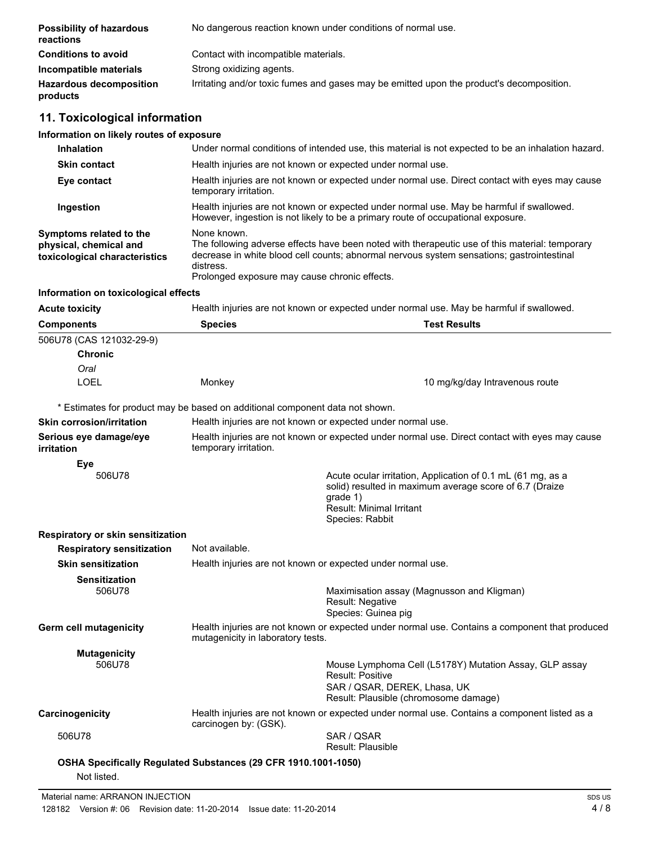| <b>Possibility of hazardous</b><br>reactions | No dangerous reaction known under conditions of normal use.                              |  |  |
|----------------------------------------------|------------------------------------------------------------------------------------------|--|--|
| <b>Conditions to avoid</b>                   | Contact with incompatible materials.                                                     |  |  |
| Incompatible materials                       | Strong oxidizing agents.                                                                 |  |  |
| <b>Hazardous decomposition</b><br>products   | Irritating and/or toxic fumes and gases may be emitted upon the product's decomposition. |  |  |

## **11. Toxicological information**

### **Information on likely routes of exposure**

| <b>Inhalation</b>                                                                  | Under normal conditions of intended use, this material is not expected to be an inhalation hazard.                                                                                                                                                                       |                                                                                          |  |
|------------------------------------------------------------------------------------|--------------------------------------------------------------------------------------------------------------------------------------------------------------------------------------------------------------------------------------------------------------------------|------------------------------------------------------------------------------------------|--|
| <b>Skin contact</b>                                                                | Health injuries are not known or expected under normal use.                                                                                                                                                                                                              |                                                                                          |  |
| Eye contact                                                                        | Health injuries are not known or expected under normal use. Direct contact with eyes may cause<br>temporary irritation.                                                                                                                                                  |                                                                                          |  |
| Ingestion                                                                          | Health injuries are not known or expected under normal use. May be harmful if swallowed.<br>However, ingestion is not likely to be a primary route of occupational exposure.                                                                                             |                                                                                          |  |
| Symptoms related to the<br>physical, chemical and<br>toxicological characteristics | None known.<br>The following adverse effects have been noted with therapeutic use of this material: temporary<br>decrease in white blood cell counts; abnormal nervous system sensations; gastrointestinal<br>distress.<br>Prolonged exposure may cause chronic effects. |                                                                                          |  |
| Information on toxicological effects                                               |                                                                                                                                                                                                                                                                          |                                                                                          |  |
| <b>Acute toxicity</b>                                                              |                                                                                                                                                                                                                                                                          | Health injuries are not known or expected under normal use. May be harmful if swallowed. |  |
| <b>Components</b>                                                                  | <b>Species</b>                                                                                                                                                                                                                                                           | <b>Test Results</b>                                                                      |  |
| 506U78 (CAS 121032-29-9)                                                           |                                                                                                                                                                                                                                                                          |                                                                                          |  |
| <b>Chronic</b>                                                                     |                                                                                                                                                                                                                                                                          |                                                                                          |  |
| Oral                                                                               |                                                                                                                                                                                                                                                                          |                                                                                          |  |
| LOEL                                                                               | Monkey                                                                                                                                                                                                                                                                   | 10 mg/kg/day Intravenous route                                                           |  |

\* Estimates for product may be based on additional component data not shown.

| Skin corrosion/irritation                   | Health injuries are not known or expected under normal use.                                                                         |                                                                                                                                                                                          |
|---------------------------------------------|-------------------------------------------------------------------------------------------------------------------------------------|------------------------------------------------------------------------------------------------------------------------------------------------------------------------------------------|
| Serious eye damage/eye<br><i>irritation</i> | Health injuries are not known or expected under normal use. Direct contact with eyes may cause<br>temporary irritation.             |                                                                                                                                                                                          |
| Eye<br>506U78                               |                                                                                                                                     | Acute ocular irritation, Application of 0.1 mL (61 mg, as a<br>solid) resulted in maximum average score of 6.7 (Draize<br>grade 1)<br><b>Result: Minimal Irritant</b><br>Species: Rabbit |
| Respiratory or skin sensitization           |                                                                                                                                     |                                                                                                                                                                                          |
| <b>Respiratory sensitization</b>            | Not available.                                                                                                                      |                                                                                                                                                                                          |
| <b>Skin sensitization</b>                   | Health injuries are not known or expected under normal use.                                                                         |                                                                                                                                                                                          |
| <b>Sensitization</b><br>506U78              |                                                                                                                                     | Maximisation assay (Magnusson and Kligman)<br><b>Result: Negative</b><br>Species: Guinea pig                                                                                             |
| <b>Germ cell mutagenicity</b>               | Health injuries are not known or expected under normal use. Contains a component that produced<br>mutagenicity in laboratory tests. |                                                                                                                                                                                          |
| <b>Mutagenicity</b><br>506U78               |                                                                                                                                     | Mouse Lymphoma Cell (L5178Y) Mutation Assay, GLP assay<br><b>Result: Positive</b><br>SAR / QSAR, DEREK, Lhasa, UK<br>Result: Plausible (chromosome damage)                               |
| Carcinogenicity                             | Health injuries are not known or expected under normal use. Contains a component listed as a<br>carcinogen by: (GSK).               |                                                                                                                                                                                          |
| 506U78                                      |                                                                                                                                     | SAR / OSAR<br>Result: Plausible                                                                                                                                                          |
| Not listed.                                 | OSHA Specifically Regulated Substances (29 CFR 1910.1001-1050)                                                                      |                                                                                                                                                                                          |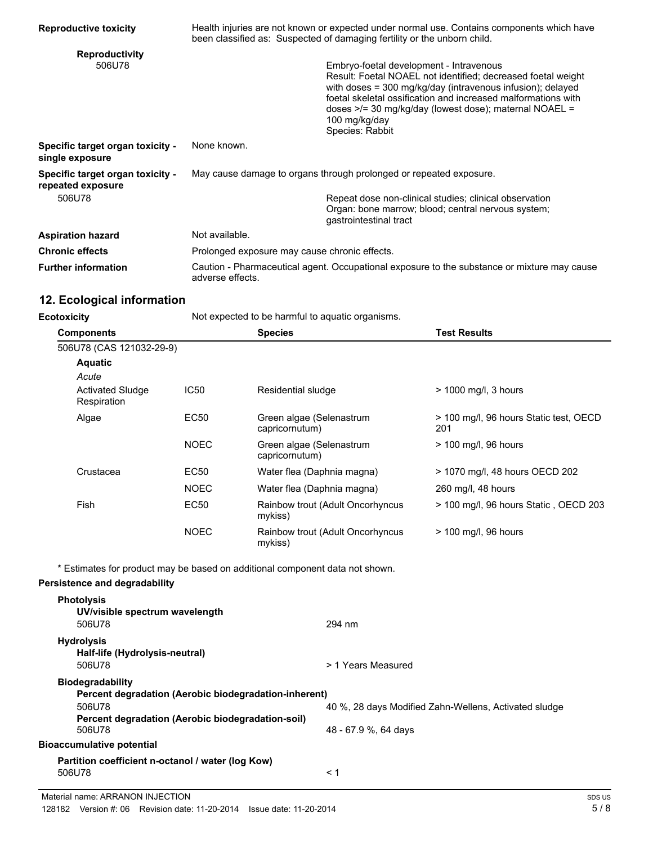| <b>Reproductive toxicity</b>                          | Health injuries are not known or expected under normal use. Contains components which have<br>been classified as: Suspected of damaging fertility or the unborn child. |                                                                                                                                                                                                                                                                                                                                                |
|-------------------------------------------------------|------------------------------------------------------------------------------------------------------------------------------------------------------------------------|------------------------------------------------------------------------------------------------------------------------------------------------------------------------------------------------------------------------------------------------------------------------------------------------------------------------------------------------|
| <b>Reproductivity</b><br>506U78                       |                                                                                                                                                                        | Embryo-foetal development - Intravenous<br>Result: Foetal NOAEL not identified; decreased foetal weight<br>with doses = $300 \text{ mg/kg/day}$ (intravenous infusion); delayed<br>foetal skeletal ossification and increased malformations with<br>doses >/= 30 mg/kg/day (lowest dose); maternal NOAEL =<br>100 mg/kg/day<br>Species: Rabbit |
| Specific target organ toxicity -<br>single exposure   | None known.                                                                                                                                                            |                                                                                                                                                                                                                                                                                                                                                |
| Specific target organ toxicity -<br>repeated exposure | May cause damage to organs through prolonged or repeated exposure.                                                                                                     |                                                                                                                                                                                                                                                                                                                                                |
| 506U78                                                |                                                                                                                                                                        | Repeat dose non-clinical studies; clinical observation<br>Organ: bone marrow; blood; central nervous system;<br>gastrointestinal tract                                                                                                                                                                                                         |
| <b>Aspiration hazard</b>                              | Not available.                                                                                                                                                         |                                                                                                                                                                                                                                                                                                                                                |
| <b>Chronic effects</b>                                | Prolonged exposure may cause chronic effects.                                                                                                                          |                                                                                                                                                                                                                                                                                                                                                |
| <b>Further information</b>                            | Caution - Pharmaceutical agent. Occupational exposure to the substance or mixture may cause<br>adverse effects.                                                        |                                                                                                                                                                                                                                                                                                                                                |

## **12. Ecological information**

| <b>Ecotoxicity</b>                     |             | Not expected to be harmful to aquatic organisms. |                                               |  |
|----------------------------------------|-------------|--------------------------------------------------|-----------------------------------------------|--|
| <b>Components</b>                      |             | <b>Species</b>                                   | <b>Test Results</b>                           |  |
| 506U78 (CAS 121032-29-9)               |             |                                                  |                                               |  |
| <b>Aquatic</b>                         |             |                                                  |                                               |  |
| Acute                                  |             |                                                  |                                               |  |
| <b>Activated Sludge</b><br>Respiration | IC50        | Residential sludge                               | $>$ 1000 mg/l, 3 hours                        |  |
| Algae                                  | EC50        | Green algae (Selenastrum<br>capricornutum)       | > 100 mg/l, 96 hours Static test, OECD<br>201 |  |
|                                        | <b>NOEC</b> | Green algae (Selenastrum<br>capricornutum)       | > 100 mg/l, 96 hours                          |  |
| Crustacea                              | EC50        | Water flea (Daphnia magna)                       | > 1070 mg/l, 48 hours OECD 202                |  |
|                                        | <b>NOEC</b> | Water flea (Daphnia magna)                       | 260 mg/l, 48 hours                            |  |
| Fish                                   | EC50        | Rainbow trout (Adult Oncorhyncus<br>mykiss)      | > 100 mg/l, 96 hours Static, OECD 203         |  |
|                                        | <b>NOEC</b> | Rainbow trout (Adult Oncorhyncus<br>mykiss)      | $>$ 100 mg/l, 96 hours                        |  |

\* Estimates for product may be based on additional component data not shown.

## **Persistence and degradability**

| <b>Photolysis</b>                                     |                                                       |
|-------------------------------------------------------|-------------------------------------------------------|
| UV/visible spectrum wavelength                        |                                                       |
| 506U78                                                | 294 nm                                                |
| <b>Hydrolysis</b>                                     |                                                       |
| Half-life (Hydrolysis-neutral)                        |                                                       |
| 506U78                                                | > 1 Years Measured                                    |
| <b>Biodegradability</b>                               |                                                       |
| Percent degradation (Aerobic biodegradation-inherent) |                                                       |
| 506U78                                                | 40 %, 28 days Modified Zahn-Wellens, Activated sludge |
| Percent degradation (Aerobic biodegradation-soil)     |                                                       |
| 506U78                                                | 48 - 67.9 %, 64 days                                  |
| Bioaccumulative potential                             |                                                       |
| Partition coefficient n-octanol / water (log Kow)     |                                                       |
| 506U78                                                | < 1                                                   |
|                                                       |                                                       |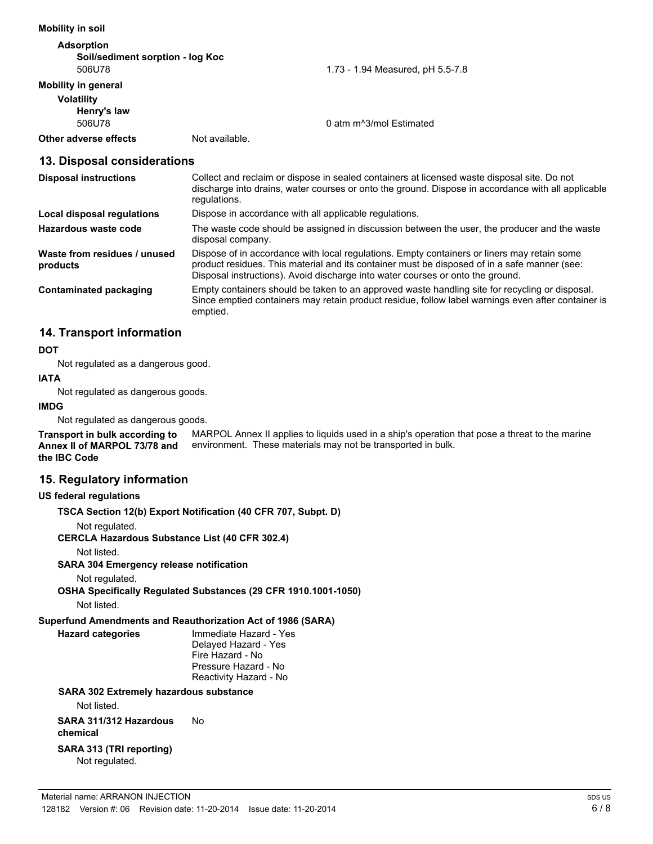#### **Mobility in soil**

| <b>Adsorption</b>                |                |                                     |
|----------------------------------|----------------|-------------------------------------|
| Soil/sediment sorption - log Koc |                |                                     |
| 506U78                           |                | 1.73 - 1.94 Measured, pH 5.5-7.8    |
| Mobility in general              |                |                                     |
| <b>Volatility</b>                |                |                                     |
| Henry's law                      |                |                                     |
| 506U78                           |                | 0 atm m <sup>3</sup> /mol Estimated |
| Other adverse effects            | Not available. |                                     |

#### **13. Disposal considerations**

| <b>Disposal instructions</b>             | Collect and reclaim or dispose in sealed containers at licensed waste disposal site. Do not<br>discharge into drains, water courses or onto the ground. Dispose in accordance with all applicable<br>regulations.                                                             |
|------------------------------------------|-------------------------------------------------------------------------------------------------------------------------------------------------------------------------------------------------------------------------------------------------------------------------------|
| Local disposal regulations               | Dispose in accordance with all applicable regulations.                                                                                                                                                                                                                        |
| Hazardous waste code                     | The waste code should be assigned in discussion between the user, the producer and the waste<br>disposal company.                                                                                                                                                             |
| Waste from residues / unused<br>products | Dispose of in accordance with local regulations. Empty containers or liners may retain some<br>product residues. This material and its container must be disposed of in a safe manner (see:<br>Disposal instructions). Avoid discharge into water courses or onto the ground. |
| <b>Contaminated packaging</b>            | Empty containers should be taken to an approved waste handling site for recycling or disposal.<br>Since emptied containers may retain product residue, follow label warnings even after container is<br>emptied.                                                              |

## **14. Transport information**

#### **DOT**

Not regulated as a dangerous good.

#### **IATA**

Not regulated as dangerous goods.

#### **IMDG**

Not regulated as dangerous goods.

MARPOL Annex II applies to liquids used in a ship's operation that pose a threat to the marine environment. These materials may not be transported in bulk. **Transport in bulk according to Annex II of MARPOL 73/78 and the IBC Code**

#### **15. Regulatory information**

#### **US federal regulations**

**TSCA Section 12(b) Export Notification (40 CFR 707, Subpt. D)**

Not regulated.

**CERCLA Hazardous Substance List (40 CFR 302.4)**

Not listed.

**SARA 304 Emergency release notification**

Not regulated.

**OSHA Specifically Regulated Substances (29 CFR 1910.1001-1050)** Not listed.

#### **Superfund Amendments and Reauthorization Act of 1986 (SARA)**

**Hazard categories** Immediate Hazard - Yes Delayed Hazard - Yes Fire Hazard - No Pressure Hazard - No Reactivity Hazard - No

#### **SARA 302 Extremely hazardous substance**

Not listed.

**SARA 311/312 Hazardous chemical** No

## **SARA 313 (TRI reporting)**

Not regulated.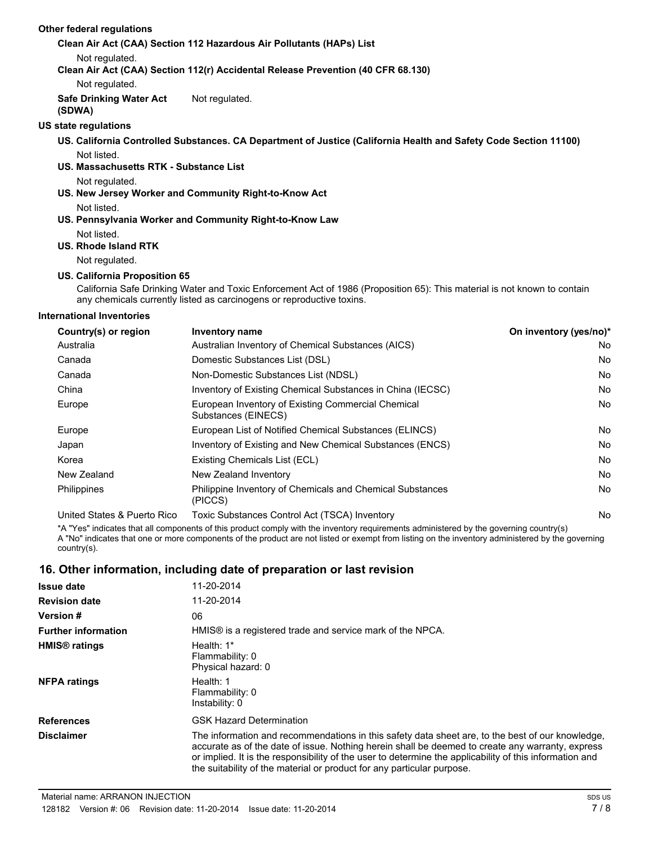#### **Other federal regulations**

#### **Clean Air Act (CAA) Section 112 Hazardous Air Pollutants (HAPs) List**

Not regulated.

**Clean Air Act (CAA) Section 112(r) Accidental Release Prevention (40 CFR 68.130)**

Not regulated.

**Safe Drinking Water Act (SDWA)** Not regulated.

#### **US state regulations**

**US. California Controlled Substances. CA Department of Justice (California Health and Safety Code Section 11100)** Not listed.

#### **US. Massachusetts RTK - Substance List**

Not regulated.

#### **US. New Jersey Worker and Community Right-to-Know Act**

Not listed.

#### **US. Pennsylvania Worker and Community Right-to-Know Law** Not listed.

**US. Rhode Island RTK**

Not regulated.

#### **US. California Proposition 65**

California Safe Drinking Water and Toxic Enforcement Act of 1986 (Proposition 65): This material is not known to contain any chemicals currently listed as carcinogens or reproductive toxins.

#### **International Inventories**

| Country(s) or region        | <b>Inventory name</b>                                                     | On inventory (yes/no)* |
|-----------------------------|---------------------------------------------------------------------------|------------------------|
| Australia                   | Australian Inventory of Chemical Substances (AICS)                        | No                     |
| Canada                      | Domestic Substances List (DSL)                                            | No                     |
| Canada                      | Non-Domestic Substances List (NDSL)                                       | No                     |
| China                       | Inventory of Existing Chemical Substances in China (IECSC)                | No                     |
| Europe                      | European Inventory of Existing Commercial Chemical<br>Substances (EINECS) | No                     |
| Europe                      | European List of Notified Chemical Substances (ELINCS)                    | No                     |
| Japan                       | Inventory of Existing and New Chemical Substances (ENCS)                  | No                     |
| Korea                       | Existing Chemicals List (ECL)                                             | No                     |
| New Zealand                 | New Zealand Inventory                                                     | No                     |
| Philippines                 | Philippine Inventory of Chemicals and Chemical Substances<br>(PICCS)      | No                     |
| United States & Puerto Rico | Toxic Substances Control Act (TSCA) Inventory                             | No                     |

\*A "Yes" indicates that all components of this product comply with the inventory requirements administered by the governing country(s) A "No" indicates that one or more components of the product are not listed or exempt from listing on the inventory administered by the governing country(s).

## **16. Other information, including date of preparation or last revision**

| <b>Issue date</b>               | 11-20-2014                                                                                                                                                                                                                                                                                                                                                                                |
|---------------------------------|-------------------------------------------------------------------------------------------------------------------------------------------------------------------------------------------------------------------------------------------------------------------------------------------------------------------------------------------------------------------------------------------|
| <b>Revision date</b>            | 11-20-2014                                                                                                                                                                                                                                                                                                                                                                                |
| <b>Version #</b>                | 06                                                                                                                                                                                                                                                                                                                                                                                        |
| <b>Further information</b>      | HMIS® is a registered trade and service mark of the NPCA.                                                                                                                                                                                                                                                                                                                                 |
| <b>HMIS<sup>®</sup></b> ratings | Health: $1*$<br>Flammability: 0<br>Physical hazard: 0                                                                                                                                                                                                                                                                                                                                     |
| <b>NFPA ratings</b>             | Health: 1<br>Flammability: 0<br>Instability: 0                                                                                                                                                                                                                                                                                                                                            |
| <b>References</b>               | <b>GSK Hazard Determination</b>                                                                                                                                                                                                                                                                                                                                                           |
| <b>Disclaimer</b>               | The information and recommendations in this safety data sheet are, to the best of our knowledge,<br>accurate as of the date of issue. Nothing herein shall be deemed to create any warranty, express<br>or implied. It is the responsibility of the user to determine the applicability of this information and<br>the suitability of the material or product for any particular purpose. |